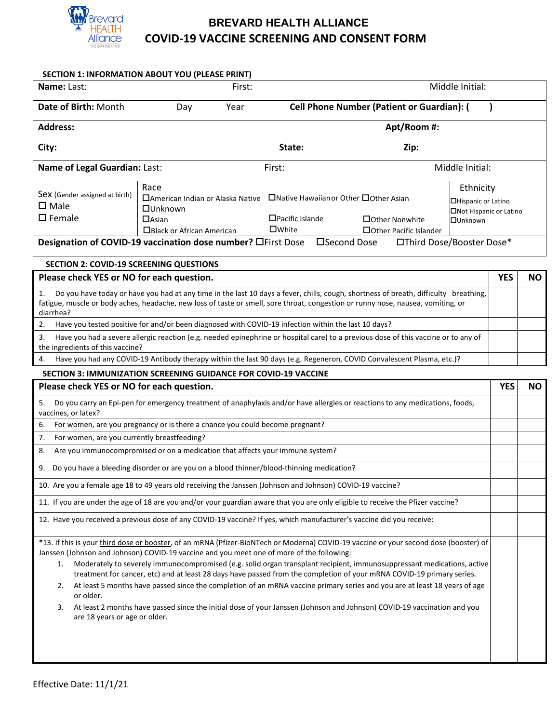

## **BREVARD HEALTH ALLIANCE COVID-19 VACCINE SCREENING AND CONSENT FORM**

| <b>SECTION 1: INFORMATION ABOUT YOU (PLEASE PRINT)</b>                                                                                                                                                                                                                                             |                                                                                                             |  |                                                                                                     |                                                                                                                                                                                                                                                                                                                                                                                                                                                                                                         |                                                                                                             |            |           |
|----------------------------------------------------------------------------------------------------------------------------------------------------------------------------------------------------------------------------------------------------------------------------------------------------|-------------------------------------------------------------------------------------------------------------|--|-----------------------------------------------------------------------------------------------------|---------------------------------------------------------------------------------------------------------------------------------------------------------------------------------------------------------------------------------------------------------------------------------------------------------------------------------------------------------------------------------------------------------------------------------------------------------------------------------------------------------|-------------------------------------------------------------------------------------------------------------|------------|-----------|
| Name: Last:                                                                                                                                                                                                                                                                                        | Middle Initial:<br>First:                                                                                   |  |                                                                                                     |                                                                                                                                                                                                                                                                                                                                                                                                                                                                                                         |                                                                                                             |            |           |
| Date of Birth: Month                                                                                                                                                                                                                                                                               | <b>Cell Phone Number (Patient or Guardian): (</b><br>Day<br>Year                                            |  |                                                                                                     |                                                                                                                                                                                                                                                                                                                                                                                                                                                                                                         |                                                                                                             |            |           |
| <b>Address:</b>                                                                                                                                                                                                                                                                                    |                                                                                                             |  |                                                                                                     | Apt/Room #:                                                                                                                                                                                                                                                                                                                                                                                                                                                                                             |                                                                                                             |            |           |
| City:                                                                                                                                                                                                                                                                                              |                                                                                                             |  | State:                                                                                              | Zip:                                                                                                                                                                                                                                                                                                                                                                                                                                                                                                    |                                                                                                             |            |           |
| Middle Initial:<br>Name of Legal Guardian: Last:<br>First:                                                                                                                                                                                                                                         |                                                                                                             |  |                                                                                                     |                                                                                                                                                                                                                                                                                                                                                                                                                                                                                                         |                                                                                                             |            |           |
| Sex (Gender assigned at birth)<br>$\square$ Male<br>$\square$ Female<br>Designation of COVID-19 vaccination dose number? <b>Ellact Dose</b> Elsecond Dose                                                                                                                                          | Race<br>□ American Indian or Alaska Native<br><b>OUnknown</b><br>$\Box$ Asian<br>□Black or African American |  | □Native Hawaiian or Other □Other Asian<br>$\Box$ Pacific Islande<br>$\square$ White                 | □ Other Nonwhite<br>□ Other Pacific Islander                                                                                                                                                                                                                                                                                                                                                                                                                                                            | Ethnicity<br>□Hispanic or Latino<br>□Not Hispanic or Latino<br><b>OUnknown</b><br>□Third Dose/Booster Dose* |            |           |
| <b>SECTION 2: COVID-19 SCREENING QUESTIONS</b>                                                                                                                                                                                                                                                     |                                                                                                             |  |                                                                                                     |                                                                                                                                                                                                                                                                                                                                                                                                                                                                                                         |                                                                                                             |            |           |
| Please check YES or NO for each question.                                                                                                                                                                                                                                                          |                                                                                                             |  |                                                                                                     |                                                                                                                                                                                                                                                                                                                                                                                                                                                                                                         |                                                                                                             | <b>YES</b> | <b>NO</b> |
| 1.<br>fatigue, muscle or body aches, headache, new loss of taste or smell, sore throat, congestion or runny nose, nausea, vomiting, or<br>diarrhea?<br>2.<br>3.                                                                                                                                    |                                                                                                             |  | Have you tested positive for and/or been diagnosed with COVID-19 infection within the last 10 days? | Do you have today or have you had at any time in the last 10 days a fever, chills, cough, shortness of breath, difficulty breathing,<br>Have you had a severe allergic reaction (e.g. needed epinephrine or hospital care) to a previous dose of this vaccine or to any of                                                                                                                                                                                                                              |                                                                                                             |            |           |
| the ingredients of this vaccine?                                                                                                                                                                                                                                                                   |                                                                                                             |  |                                                                                                     |                                                                                                                                                                                                                                                                                                                                                                                                                                                                                                         |                                                                                                             |            |           |
| 4.                                                                                                                                                                                                                                                                                                 |                                                                                                             |  |                                                                                                     | Have you had any COVID-19 Antibody therapy within the last 90 days (e.g. Regeneron, COVID Convalescent Plasma, etc.)?                                                                                                                                                                                                                                                                                                                                                                                   |                                                                                                             |            |           |
| <b>SECTION 3: IMMUNIZATION SCREENING GUIDANCE FOR COVID-19 VACCINE</b>                                                                                                                                                                                                                             |                                                                                                             |  |                                                                                                     |                                                                                                                                                                                                                                                                                                                                                                                                                                                                                                         |                                                                                                             |            |           |
| Please check YES or NO for each question.                                                                                                                                                                                                                                                          |                                                                                                             |  |                                                                                                     |                                                                                                                                                                                                                                                                                                                                                                                                                                                                                                         |                                                                                                             | <b>YES</b> | NO.       |
| 5.<br>vaccines, or latex?                                                                                                                                                                                                                                                                          |                                                                                                             |  |                                                                                                     | Do you carry an Epi-pen for emergency treatment of anaphylaxis and/or have allergies or reactions to any medications, foods,                                                                                                                                                                                                                                                                                                                                                                            |                                                                                                             |            |           |
| For women, are you pregnancy or is there a chance you could become pregnant?<br>6.                                                                                                                                                                                                                 |                                                                                                             |  |                                                                                                     |                                                                                                                                                                                                                                                                                                                                                                                                                                                                                                         |                                                                                                             |            |           |
| For women, are you currently breastfeeding?<br>7.                                                                                                                                                                                                                                                  |                                                                                                             |  |                                                                                                     |                                                                                                                                                                                                                                                                                                                                                                                                                                                                                                         |                                                                                                             |            |           |
| Are you immunocompromised or on a medication that affects your immune system?<br>8.                                                                                                                                                                                                                |                                                                                                             |  |                                                                                                     |                                                                                                                                                                                                                                                                                                                                                                                                                                                                                                         |                                                                                                             |            |           |
| 9. Do you have a bleeding disorder or are you on a blood thinner/blood-thinning medication?                                                                                                                                                                                                        |                                                                                                             |  |                                                                                                     |                                                                                                                                                                                                                                                                                                                                                                                                                                                                                                         |                                                                                                             |            |           |
| 10. Are you a female age 18 to 49 years old receiving the Janssen (Johnson and Johnson) COVID-19 vaccine?                                                                                                                                                                                          |                                                                                                             |  |                                                                                                     |                                                                                                                                                                                                                                                                                                                                                                                                                                                                                                         |                                                                                                             |            |           |
| 11. If you are under the age of 18 are you and/or your guardian aware that you are only eligible to receive the Pfizer vaccine?                                                                                                                                                                    |                                                                                                             |  |                                                                                                     |                                                                                                                                                                                                                                                                                                                                                                                                                                                                                                         |                                                                                                             |            |           |
| 12. Have you received a previous dose of any COVID-19 vaccine? If yes, which manufacturer's vaccine did you receive:                                                                                                                                                                               |                                                                                                             |  |                                                                                                     |                                                                                                                                                                                                                                                                                                                                                                                                                                                                                                         |                                                                                                             |            |           |
| *13. If this is your third dose or booster, of an mRNA (Pfizer-BioNTech or Moderna) COVID-19 vaccine or your second dose (booster) of<br>Janssen (Johnson and Johnson) COVID-19 vaccine and you meet one of more of the following:<br>1.<br>2.<br>or older.<br>3.<br>are 18 years or age or older. |                                                                                                             |  |                                                                                                     | Moderately to severely immunocompromised (e.g. solid organ transplant recipient, immunosuppressant medications, active<br>treatment for cancer, etc) and at least 28 days have passed from the completion of your mRNA COVID-19 primary series.<br>At least 5 months have passed since the completion of an mRNA vaccine primary series and you are at least 18 years of age<br>At least 2 months have passed since the initial dose of your Janssen (Johnson and Johnson) COVID-19 vaccination and you |                                                                                                             |            |           |
|                                                                                                                                                                                                                                                                                                    |                                                                                                             |  |                                                                                                     |                                                                                                                                                                                                                                                                                                                                                                                                                                                                                                         |                                                                                                             |            |           |